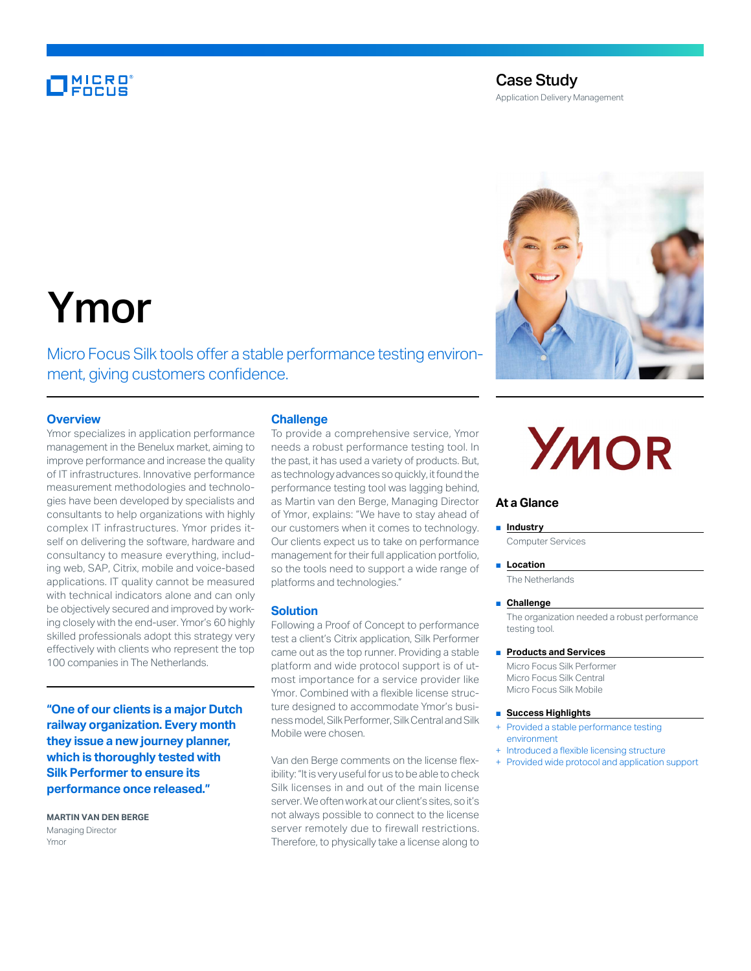### **MICRO**<br>FOCUS

#### Case Study

Application Delivery Management



## Ymor

Micro Focus Silk tools offer a stable performance testing environment, giving customers confidence.

#### **Overview**

Ymor specializes in application performance management in the Benelux market, aiming to improve performance and increase the quality of IT infrastructures. Innovative performance measurement methodologies and technologies have been developed by specialists and consultants to help organizations with highly complex IT infrastructures. Ymor prides itself on delivering the software, hardware and consultancy to measure everything, including web, SAP, Citrix, mobile and voice-based applications. IT quality cannot be measured with technical indicators alone and can only be objectively secured and improved by working closely with the end-user. Ymor's 60 highly skilled professionals adopt this strategy very effectively with clients who represent the top 100 companies in The Netherlands.

**"One of our clients is a major Dutch railway organization. Every month they issue a new journey planner, which is thoroughly tested with Silk Performer to ensure its performance once released."**

**MARTIN VAN DEN BERGE** Managing Director Ymor

#### **Challenge**

To provide a comprehensive service, Ymor needs a robust performance testing tool. In the past, it has used a variety of products. But, as technology advances so quickly, it found the performance testing tool was lagging behind, as Martin van den Berge, Managing Director of Ymor, explains: "We have to stay ahead of our customers when it comes to technology. Our clients expect us to take on performance management for their full application portfolio, so the tools need to support a wide range of platforms and technologies."

#### **Solution**

Following a Proof of Concept to performance test a client's Citrix application, Silk Performer came out as the top runner. Providing a stable platform and wide protocol support is of utmost importance for a service provider like Ymor. Combined with a flexible license structure designed to accommodate Ymor's business model, Silk Performer, Silk Central and Silk Mobile were chosen.

Van den Berge comments on the license flexibility: "It is very useful for us to be able to check Silk licenses in and out of the main license server. We often work at our client's sites, so it's not always possible to connect to the license server remotely due to firewall restrictions. Therefore, to physically take a license along to

# **YMOR**

#### **At a Glance**

#### ■ **Industry**

Computer Services

■ **Location** The Netherlands

#### ■ **Challenge**

The organization needed a robust performance testing tool.

#### ■ **Products and Services**

Micro Focus Silk Performer Micro Focus Silk Central Micro Focus Silk Mobile

#### ■ **Success Highlights**

- Provided a stable performance testing environment
- + Introduced a flexible licensing structure
- + Provided wide protocol and application support